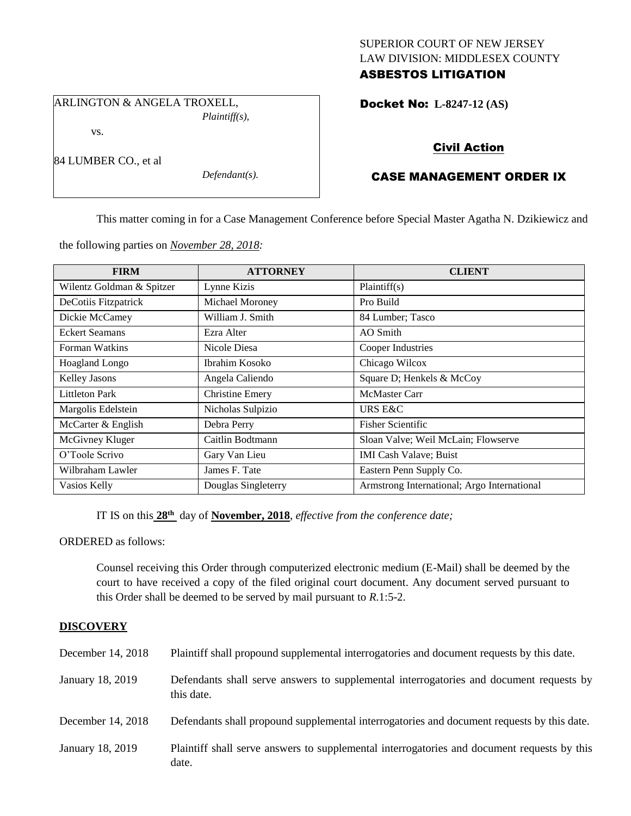# SUPERIOR COURT OF NEW JERSEY LAW DIVISION: MIDDLESEX COUNTY ASBESTOS LITIGATION

Docket No: **L-8247-12 (AS)** 

ARLINGTON & ANGELA TROXELL,

vs.

84 LUMBER CO., et al

*Plaintiff(s),*

*Defendant(s).*

Civil Action

# CASE MANAGEMENT ORDER IX

This matter coming in for a Case Management Conference before Special Master Agatha N. Dzikiewicz and

the following parties on *November 28, 2018:*

| <b>FIRM</b>               | <b>ATTORNEY</b>        | <b>CLIENT</b>                               |
|---------------------------|------------------------|---------------------------------------------|
| Wilentz Goldman & Spitzer | Lynne Kizis            | Plaintiff(s)                                |
| DeCotiis Fitzpatrick      | Michael Moroney        | Pro Build                                   |
| Dickie McCamey            | William J. Smith       | 84 Lumber; Tasco                            |
| <b>Eckert Seamans</b>     | Ezra Alter             | AO Smith                                    |
| Forman Watkins            | Nicole Diesa           | Cooper Industries                           |
| <b>Hoagland Longo</b>     | Ibrahim Kosoko         | Chicago Wilcox                              |
| Kelley Jasons             | Angela Caliendo        | Square D; Henkels & McCoy                   |
| <b>Littleton Park</b>     | <b>Christine Emery</b> | <b>McMaster Carr</b>                        |
| Margolis Edelstein        | Nicholas Sulpizio      | URS E&C                                     |
| McCarter & English        | Debra Perry            | <b>Fisher Scientific</b>                    |
| McGivney Kluger           | Caitlin Bodtmann       | Sloan Valve; Weil McLain; Flowserve         |
| O'Toole Scrivo            | Gary Van Lieu          | <b>IMI Cash Valave; Buist</b>               |
| Wilbraham Lawler          | James F. Tate          | Eastern Penn Supply Co.                     |
| Vasios Kelly              | Douglas Singleterry    | Armstrong International; Argo International |

IT IS on this  $28<sup>th</sup>$  day of **November, 2018**, *effective from the conference date*;

ORDERED as follows:

Counsel receiving this Order through computerized electronic medium (E-Mail) shall be deemed by the court to have received a copy of the filed original court document. Any document served pursuant to this Order shall be deemed to be served by mail pursuant to *R*.1:5-2.

# **DISCOVERY**

| December 14, 2018 | Plaintiff shall propound supplemental interrogatories and document requests by this date.             |
|-------------------|-------------------------------------------------------------------------------------------------------|
| January 18, 2019  | Defendants shall serve answers to supplemental interrogatories and document requests by<br>this date. |
| December 14, 2018 | Defendants shall propound supplemental interrogatories and document requests by this date.            |
| January 18, 2019  | Plaintiff shall serve answers to supplemental interrogatories and document requests by this<br>date.  |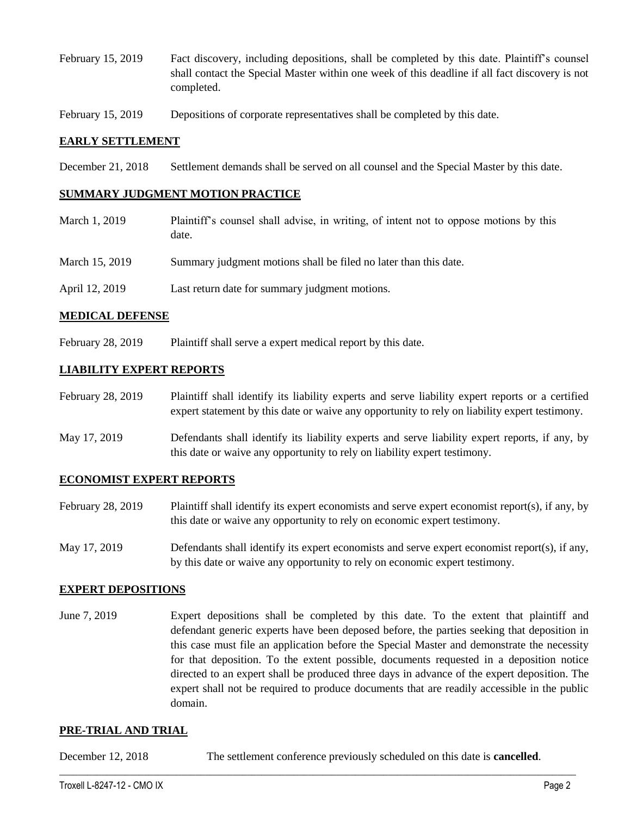- February 15, 2019 Fact discovery, including depositions, shall be completed by this date. Plaintiff's counsel shall contact the Special Master within one week of this deadline if all fact discovery is not completed.
- February 15, 2019 Depositions of corporate representatives shall be completed by this date.

### **EARLY SETTLEMENT**

December 21, 2018 Settlement demands shall be served on all counsel and the Special Master by this date.

#### **SUMMARY JUDGMENT MOTION PRACTICE**

- March 1, 2019 Plaintiff's counsel shall advise, in writing, of intent not to oppose motions by this date. March 15, 2019 Summary judgment motions shall be filed no later than this date.
- April 12, 2019 Last return date for summary judgment motions.

#### **MEDICAL DEFENSE**

February 28, 2019 Plaintiff shall serve a expert medical report by this date.

# **LIABILITY EXPERT REPORTS**

- February 28, 2019 Plaintiff shall identify its liability experts and serve liability expert reports or a certified expert statement by this date or waive any opportunity to rely on liability expert testimony.
- May 17, 2019 Defendants shall identify its liability experts and serve liability expert reports, if any, by this date or waive any opportunity to rely on liability expert testimony.

# **ECONOMIST EXPERT REPORTS**

- February 28, 2019 Plaintiff shall identify its expert economists and serve expert economist report(s), if any, by this date or waive any opportunity to rely on economic expert testimony.
- May 17, 2019 Defendants shall identify its expert economists and serve expert economist report(s), if any, by this date or waive any opportunity to rely on economic expert testimony.

# **EXPERT DEPOSITIONS**

June 7, 2019 Expert depositions shall be completed by this date. To the extent that plaintiff and defendant generic experts have been deposed before, the parties seeking that deposition in this case must file an application before the Special Master and demonstrate the necessity for that deposition. To the extent possible, documents requested in a deposition notice directed to an expert shall be produced three days in advance of the expert deposition. The expert shall not be required to produce documents that are readily accessible in the public domain.

#### **PRE-TRIAL AND TRIAL**

December 12, 2018 The settlement conference previously scheduled on this date is **cancelled**.

 $\_$  ,  $\_$  ,  $\_$  ,  $\_$  ,  $\_$  ,  $\_$  ,  $\_$  ,  $\_$  ,  $\_$  ,  $\_$  ,  $\_$  ,  $\_$  ,  $\_$  ,  $\_$  ,  $\_$  ,  $\_$  ,  $\_$  ,  $\_$  ,  $\_$  ,  $\_$  ,  $\_$  ,  $\_$  ,  $\_$  ,  $\_$  ,  $\_$  ,  $\_$  ,  $\_$  ,  $\_$  ,  $\_$  ,  $\_$  ,  $\_$  ,  $\_$  ,  $\_$  ,  $\_$  ,  $\_$  ,  $\_$  ,  $\_$  ,